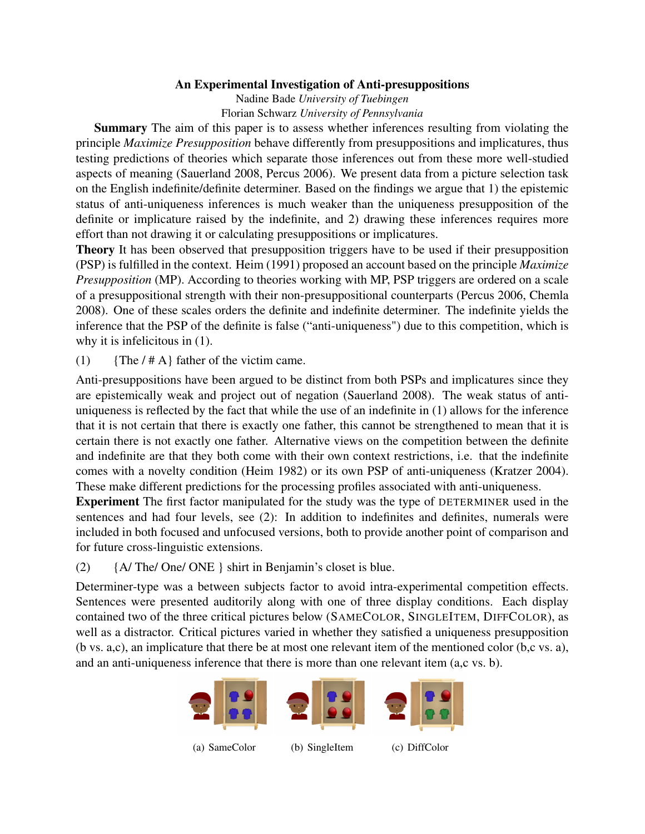## An Experimental Investigation of Anti-presuppositions

Nadine Bade *University of Tuebingen* Florian Schwarz *University of Pennsylvania*

Summary The aim of this paper is to assess whether inferences resulting from violating the principle *Maximize Presupposition* behave differently from presuppositions and implicatures, thus testing predictions of theories which separate those inferences out from these more well-studied aspects of meaning (Sauerland 2008, Percus 2006). We present data from a picture selection task on the English indefinite/definite determiner. Based on the findings we argue that 1) the epistemic status of anti-uniqueness inferences is much weaker than the uniqueness presupposition of the definite or implicature raised by the indefinite, and 2) drawing these inferences requires more effort than not drawing it or calculating presuppositions or implicatures.

Theory It has been observed that presupposition triggers have to be used if their presupposition (PSP) is fulfilled in the context. Heim (1991) proposed an account based on the principle *Maximize Presupposition* (MP). According to theories working with MP, PSP triggers are ordered on a scale of a presuppositional strength with their non-presuppositional counterparts (Percus 2006, Chemla 2008). One of these scales orders the definite and indefinite determiner. The indefinite yields the inference that the PSP of the definite is false ("anti-uniqueness") due to this competition, which is why it is infelicitous in  $(1)$ .

(1) {The  $/ \# A$ } father of the victim came.

Anti-presuppositions have been argued to be distinct from both PSPs and implicatures since they are epistemically weak and project out of negation (Sauerland 2008). The weak status of antiuniqueness is reflected by the fact that while the use of an indefinite in (1) allows for the inference that it is not certain that there is exactly one father, this cannot be strengthened to mean that it is certain there is not exactly one father. Alternative views on the competition between the definite and indefinite are that they both come with their own context restrictions, i.e. that the indefinite comes with a novelty condition (Heim 1982) or its own PSP of anti-uniqueness (Kratzer 2004). These make different predictions for the processing profiles associated with anti-uniqueness.

Experiment The first factor manipulated for the study was the type of DETERMINER used in the sentences and had four levels, see (2): In addition to indefinites and definites, numerals were included in both focused and unfocused versions, both to provide another point of comparison and for future cross-linguistic extensions.

(2) {A/ The/ One/ ONE } shirt in Benjamin's closet is blue.

Determiner-type was a between subjects factor to avoid intra-experimental competition effects. Sentences were presented auditorily along with one of three display conditions. Each display contained two of the three critical pictures below (SAMECOLOR, SINGLEITEM, DIFFCOLOR), as well as a distractor. Critical pictures varied in whether they satisfied a uniqueness presupposition (b vs. a,c), an implicature that there be at most one relevant item of the mentioned color (b,c vs. a), and an anti-uniqueness inference that there is more than one relevant item (a,c vs. b).





(a) SameColor (b) SingleItem (c) DiffColor